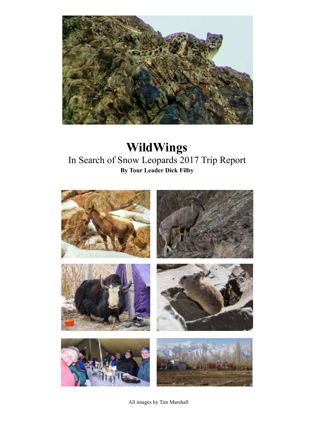

## **WildWings**  In Search of Snow Leopards 2017 Trip Report **By Tour Leader Dick Filby**



All images by Tim Marshall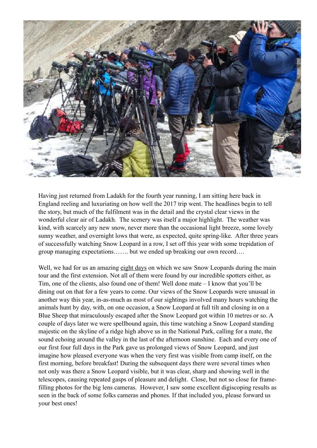

Having just returned from Ladakh for the fourth year running, I am sitting here back in England reeling and luxuriating on how well the 2017 trip went. The headlines begin to tell the story, but much of the fulfilment was in the detail and the crystal clear views in the wonderful clear air of Ladakh. The scenery was itself a major highlight. The weather was kind, with scarcely any new snow, never more than the occasional light breeze, some lovely sunny weather, and overnight lows that were, as expected, quite spring-like. After three years of successfully watching Snow Leopard in a row, I set off this year with some trepidation of group managing expectations……. but we ended up breaking our own record….

Well, we had for us an amazing eight days on which we saw Snow Leopards during the main tour and the first extension. Not all of them were found by our incredible spotters either, as Tim, one of the clients, also found one of them! Well done mate – I know that you'll be dining out on that for a few years to come. Our views of the Snow Leopards were unusual in another way this year, in-as-much as most of our sightings involved many hours watching the animals hunt by day, with, on one occasion, a Snow Leopard at full tilt and closing in on a Blue Sheep that miraculously escaped after the Snow Leopard got within 10 metres or so. A couple of days later we were spellbound again, this time watching a Snow Leopard standing majestic on the skyline of a ridge high above us in the National Park, calling for a mate, the sound echoing around the valley in the last of the afternoon sunshine. Each and every one of our first four full days in the Park gave us prolonged views of Snow Leopard, and just imagine how pleased everyone was when the very first was visible from camp itself, on the first morning, before breakfast! During the subsequent days there were several times when not only was there a Snow Leopard visible, but it was clear, sharp and showing well in the telescopes, causing repeated gasps of pleasure and delight. Close, but not so close for framefilling photos for the big lens cameras. However, I saw some excellent digiscoping results as seen in the back of some folks cameras and phones. If that included you, please forward us your best ones!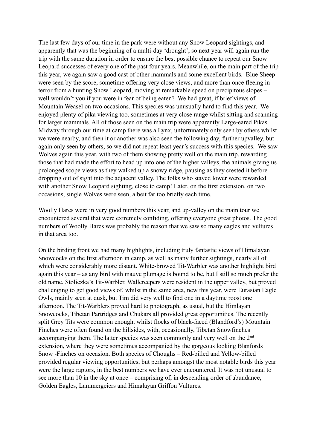The last few days of our time in the park were without any Snow Leopard sightings, and apparently that was the beginning of a multi-day 'drought', so next year will again run the trip with the same duration in order to ensure the best possible chance to repeat our Snow Leopard successes of every one of the past four years. Meanwhile, on the main part of the trip this year, we again saw a good cast of other mammals and some excellent birds. Blue Sheep were seen by the score, sometime offering very close views, and more than once fleeing in terror from a hunting Snow Leopard, moving at remarkable speed on precipitous slopes – well wouldn't you if you were in fear of being eaten? We had great, if brief views of Mountain Weasel on two occasions. This species was unusually hard to find this year. We enjoyed plenty of pika viewing too, sometimes at very close range whilst sitting and scanning for larger mammals. All of those seen on the main trip were apparently Large-eared Pikas. Midway through our time at camp there was a Lynx, unfortunately only seen by others whilst we were nearby, and then it or another was also seen the following day, further upvalley, but again only seen by others, so we did not repeat least year's success with this species. We saw Wolves again this year, with two of them showing pretty well on the main trip, rewarding those that had made the effort to head up into one of the higher valleys, the animals giving us prolonged scope views as they walked up a snowy ridge, pausing as they crested it before dropping out of sight into the adjacent valley. The folks who stayed lower were rewarded with another Snow Leopard sighting, close to camp! Later, on the first extension, on two occasions, single Wolves were seen, albeit far too briefly each time.

Woolly Hares were in very good numbers this year, and up-valley on the main tour we encountered several that were extremely confiding, offering everyone great photos. The good numbers of Woolly Hares was probably the reason that we saw so many eagles and vultures in that area too.

On the birding front we had many highlights, including truly fantastic views of Himalayan Snowcocks on the first afternoon in camp, as well as many further sightings, nearly all of which were considerably more distant. White-browed Tit-Warbler was another highlight bird again this year – as any bird with mauve plumage is bound to be, but I still so much prefer the old name, Stoliczka's Tit-Warbler. Wallcreepers were resident in the upper valley, but proved challenging to get good views of, whilst in the same area, new this year, were Eurasian Eagle Owls, mainly seen at dusk, but Tim did very well to find one in a daytime roost one afternoon. The Tit-Warblers proved hard to photograph, as usual, but the Himlayan Snowcocks, Tibetan Partridges and Chukars all provided great opportunities. The recently split Grey Tits were common enough, whilst flocks of black-faced (Blandford's) Mountain Finches were often found on the hillsides, with, occasionally, Tibetan Snowfinches accompanying them. The latter species was seen commonly and very well on the 2nd extension, where they were sometimes accompanied by the gorgeous looking Blanfords Snow -Finches on occasion. Both species of Choughs – Red-billed and Yellow-billed provided regular viewing opportunities, but perhaps amongst the most notable birds this year were the large raptors, in the best numbers we have ever encountered. It was not unusual to see more than 10 in the sky at once – comprising of, in descending order of abundance, Golden Eagles, Lammergeiers and Himalayan Griffon Vultures.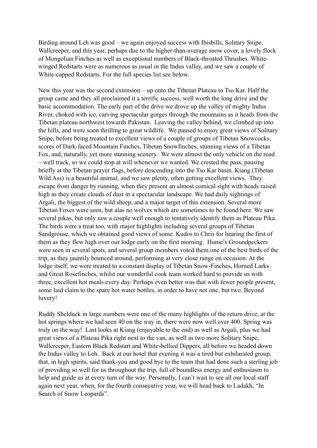Birding around Leh was good – we again enjoyed success with Ibisbills, Solitary Snipe, Wallcreeper, and this year, perhaps due to the higher-than-average snow cover, a lovely flock of Mongolian Finches as well as exceptional numbers of Black-throated Thrushes. Whitewinged Redstarts were as numerous as usual in the Indus valley, and we saw a couple of White-capped Redstarts. For the full species list see below.

New this year was the second extension – up onto the Tibetan Plateau to Tso Kar. Half the group came and they all proclaimed it a terrific success, well worth the long drive and the basic accommodation. The early part of the drive we drove up the valley of mighty Indus River, choked with ice, carving spectacular gorges through the mountains as it heads from the Tibetan plateau northwest towards Pakistan. Leaving the valley behind, we climbed up into the hills, and were soon thrilling to great wildlife. We paused to enjoy great views of Solitary Snipe, before being treated to excellent views of a couple of groups of Tibetan Snowcocks, scores of Dark-faced Mountain Finches, Tibetan Snowfinches, stunning views of a Tibetan Fox, and, naturally, yet more stunning scenery. We were almost the only vehicle on the road – well track, so we could stop at will whenever we wanted. We crested the pass, pausing briefly at the Tibetan prayer flags, before descending into the Tso Kar basin. Kiang (Tibetan Wild Ass) is a beautiful animal, and we saw plenty, often getting excellent views. They escape from danger by running, when they present an almost comical sight with heads raised high as they create clouds of dust in a spectacular landscape. We had daily sightings of Argali, the biggest of the wild sheep, and a major target of this extension. Several more Tibetan Foxes were seen, but alas no wolves which are sometimes to be found here. We saw several pikas, but only saw a couple well enough to tentatively identify them as Plateau Pika. The birds were a treat too, with major highlights including several groups of Tibetan Sandgrouse, which we obtained good views of some. Kudos to Chris for hearing the first of them as they flew high over our lodge early on the first morning. Hume's Groundpeckers were seen in several spots, and several group members voted them one of the best birds of the trip, as they jauntily bounced around, performing at very close range on occasion. At the lodge itself, we were treated to a constant display of Tibetan Snow-Finches, Horned Larks and Great Rosefinches, whilst our wonderful cook team worked hard to provide us with three, excellent hot meals every day. Perhaps even better was that with fewer people present, some laid claim to the spare hot water bottles, in order to have not one, but two. Beyond luxury!

Ruddy Shelduck in large numbers were one of the many highlights of the return drive, at the hot springs where we had seen 40 on the way in, there were now well over 400. Spring was truly on the way! Last looks at Kiang (enjoyable to the end) as well as Argali, plus we had great views of a Plateau Pika right next to the van, as well as two more Solitary Snipe, Wallcreeper, Eastern Black Redstart and White-bellied Dippers, all before we headed down the Indus valley to Leh. Back at our hotel that evening it was a tired but exhilarated group, that, in high spirits, said thank-you and good bye to the team that had done such a sterling job of providing so well for us throughout the trip, full of boundless energy and enthusiasm to help and guide us at every turn of the way. Personally, I can't wait to see all our local staff again next year, when, for the fourth consecutive year, we will head back to Ladakh, "In Search of Snow Leopards".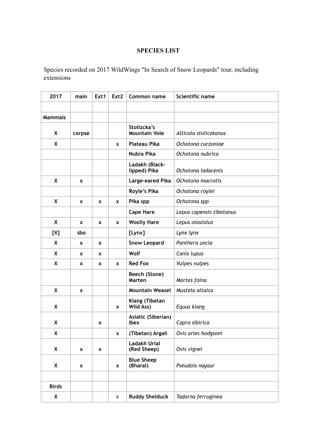## **SPECIES LIST**

Species recorded on 2017 WildWings "In Search of Snow Leopards" tour, including extensions

| 2017           | main     | Ext1 | Ext <sub>2</sub> | Common name                         | Scientific name          |
|----------------|----------|------|------------------|-------------------------------------|--------------------------|
|                |          |      |                  |                                     |                          |
| <b>Mammals</b> |          |      |                  |                                     |                          |
| X              | corpse   |      |                  | Stolizcka's<br><b>Mountain Vole</b> | Alticola stoliczkanus    |
| X              |          |      | X                | <b>Plateau Pika</b>                 | Ochotona curzoniae       |
|                |          |      |                  | Nubra Pika                          | Ochotona nubrica         |
|                |          |      |                  | Ladakh (Black-<br>lipped) Pika      | Ochotona ladacenis       |
| X              | X        |      |                  | Large-eared Pika                    | Ochotona macrotis        |
|                |          |      |                  | Royle's Pika                        | Ochotona roylei          |
| X              | X        | x    | X                | Pika spp                            | Ochotona spp             |
|                |          |      |                  | <b>Cape Hare</b>                    | Lepus capensis tibetanus |
| X              | X        | X    | X                | <b>Woolly Hare</b>                  | Lepus oiostolus          |
| [X]            | sbo      |      |                  | [Lynx]                              | Lynx lynx                |
| X              | <b>X</b> | x    |                  | <b>Snow Leopard</b>                 | Panthera uncia           |
| X              | <b>X</b> | x    |                  | Wolf                                | Canis lupus              |
| X              | x        | x    | X                | <b>Red Fox</b>                      | Vulpes vulpes            |
|                |          |      |                  | Beech (Stone)<br>Marten             | Martes foina             |
| $\mathsf{X}$   | <b>X</b> |      |                  | <b>Mountain Weasel</b>              | Mustela altaica          |
| X              |          |      | X                | Kiang (Tibetan<br>Wild Ass)         | Equus kiang              |
| X              |          | x    |                  | Asiatic (Siberian)<br><b>Ibex</b>   | Capra sibirica           |
| X              |          |      | X                | (Tibetan) Argali                    | Ovis aries hodgsoni      |
| X              | x        | X    |                  | <b>Ladakh Urial</b><br>(Red Sheep)  | Ovis vignei              |
| X              | X        |      | X                | <b>Blue Sheep</b><br>(Bharal)       | Pseudois nayaur          |
|                |          |      |                  |                                     |                          |
| <b>Birds</b>   |          |      |                  |                                     |                          |
| X              |          |      | X                | <b>Ruddy Shelduck</b>               | Tadorna ferruginea       |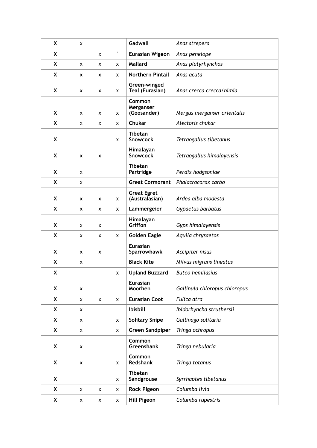| X | x |   |                     | Gadwall                              | Anas strepera                 |
|---|---|---|---------------------|--------------------------------------|-------------------------------|
| X |   | X | $\hat{\phantom{a}}$ | <b>Eurasian Wigeon</b>               | Anas penelope                 |
| X | x | x | x                   | Mallard                              | Anas platyrhynchos            |
| X | X | X | X                   | <b>Northern Pintail</b>              | Anas acuta                    |
| X | X | X | x                   | Green-winged<br>Teal (Eurasian)      | Anas crecca crecca/nimia      |
| X | X | x | x                   | Common<br>Merganser<br>(Goosander)   | Mergus merganser orientalis   |
| X | x | x | x                   | <b>Chukar</b>                        | Alectoris chukar              |
| X |   |   | x                   | <b>Tibetan</b><br><b>Snowcock</b>    | Tetraogallus tibetanus        |
| X | x | x |                     | Himalayan<br><b>Snowcock</b>         | Tetraogallus himalayensis     |
| X | x |   |                     | <b>Tibetan</b><br>Partridge          | Perdix hodgsoniae             |
| X | x |   |                     | <b>Great Cormorant</b>               | Phalacrocorax carbo           |
| X | X | X | x                   | <b>Great Egret</b><br>(Australasian) | Ardea alba modesta            |
| X | X | X | x                   | Lammergeier                          | Gypaetus barbatus             |
| X | x | x |                     | Himalayan<br><b>Griffon</b>          | Gyps himalayensis             |
| X | x | x | x                   | <b>Golden Eagle</b>                  | Aquila chrysaetos             |
| X | x | x |                     | <b>Eurasian</b><br>Sparrowhawk       | Accipiter nisus               |
| X | x |   |                     | <b>Black Kite</b>                    | Milvus migrans lineatus       |
| X |   |   | x                   | <b>Upland Buzzard</b>                | <b>Buteo hemilasius</b>       |
| X | X |   |                     | <b>Eurasian</b><br>Moorhen           | Gallinula chloropus chloropus |
| X | x | X | x                   | <b>Eurasian Coot</b>                 | Fulica atra                   |
| X | X |   |                     | <b>Ibisbill</b>                      | Ibidorhyncha struthersii      |
| X | X |   | x                   | <b>Solitary Snipe</b>                | Gallinago solitaria           |
| X | X |   | x                   | <b>Green Sandpiper</b>               | Tringa ochropus               |
| X | X |   |                     | Common<br>Greenshank                 | Tringa nebularia              |
| X | X |   | x                   | Common<br><b>Redshank</b>            | Tringa totanus                |
| X |   |   | x                   | <b>Tibetan</b><br>Sandgrouse         | Syrrhaptes tibetanus          |
| X | X | x | x                   | <b>Rock Pigeon</b>                   | Columba livia                 |
| X | x | x | x                   | <b>Hill Pigeon</b>                   | Columba rupestris             |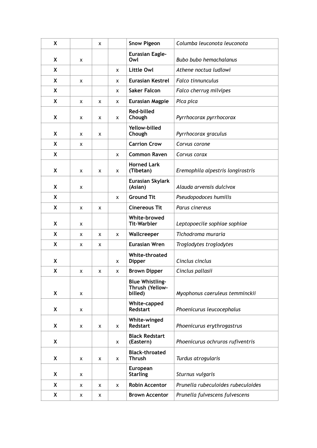| X            |   | X |   | <b>Snow Pigeon</b>                                   | Columba leuconota leuconota        |
|--------------|---|---|---|------------------------------------------------------|------------------------------------|
| X            | X |   |   | <b>Eurasian Eagle-</b><br>Owl                        | <b>Bubo bubo hemachalanus</b>      |
| X            |   |   | x | Little Owl                                           | Athene noctua ludlowi              |
| X            | x |   | x | <b>Eurasian Kestrel</b>                              | <b>Falco tinnunculus</b>           |
| X            |   |   | x | <b>Saker Falcon</b>                                  | Falco cherrug milvipes             |
| $\mathsf{X}$ | X | X | x | <b>Eurasian Magpie</b>                               | Pica pica                          |
| X            | x | x | x | <b>Red-billed</b><br>Chough                          | Pyrrhocorax pyrrhocorax            |
| X            | x | x |   | Yellow-billed<br>Chough                              | Pyrrhocorax graculus               |
| X            | x |   |   | <b>Carrion Crow</b>                                  | Corvus corone                      |
| X            |   |   | X | <b>Common Raven</b>                                  | Corvus corax                       |
| X            | X | x | X | <b>Horned Lark</b><br>(Tibetan)                      | Eremophila alpestris longirostris  |
| X            | X |   |   | Eurasian Skylark<br>(Asian)                          | Alauda arvensis dulcivox           |
| X            |   |   | X | <b>Ground Tit</b>                                    | Pseudopodoces humilis              |
| X            | x | x |   | <b>Cinereous Tit</b>                                 | Parus cinereus                     |
| X            | x |   |   | White-browed<br><b>Tit-Warbler</b>                   | Leptopoecile sophiae sophiae       |
| X            | X | x | x | Wallcreeper                                          | Tichodroma muraria                 |
| X            | x | x |   | <b>Eurasian Wren</b>                                 | Troglodytes troglodytes            |
| X            |   |   | x | White-throated<br><b>Dipper</b>                      | Cinclus cinclus                    |
| X            | X | x | x | <b>Brown Dipper</b>                                  | Cinclus pallasii                   |
| X            | X |   |   | <b>Blue Whistling-</b><br>Thrush (Yellow-<br>billed) | Myophonus caeruleus temminckii     |
| X            | x |   |   | White-capped<br><b>Redstart</b>                      | Phoenicurus leucocephalus          |
| X            | x | x | X | White-winged<br><b>Redstart</b>                      | Phoenicurus erythrogastrus         |
| X            |   |   | x | <b>Black Redstart</b><br>(Eastern)                   | Phoenicurus ochruros rufiventris   |
| X            | x | x | X | <b>Black-throated</b><br><b>Thrush</b>               | Turdus atrogularis                 |
| X            | х |   |   | European<br><b>Starling</b>                          | Sturnus vulgaris                   |
| X            | X | X | X | <b>Robin Accentor</b>                                | Prunella rubeculoides rubeculoides |
| X            | x | x |   | <b>Brown Accentor</b>                                | Prunella fulvescens fulvescens     |